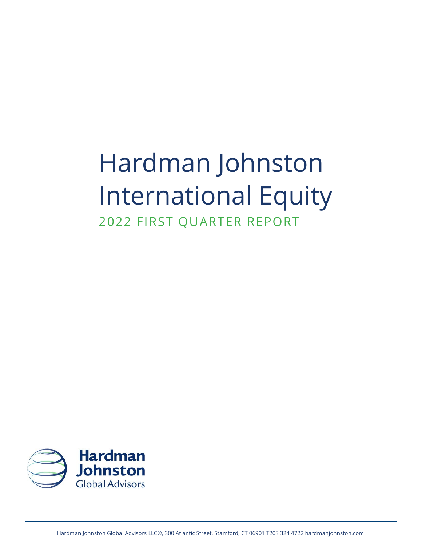# Hardman Johnston International Equity

2022 FIRST QUARTER REPORT

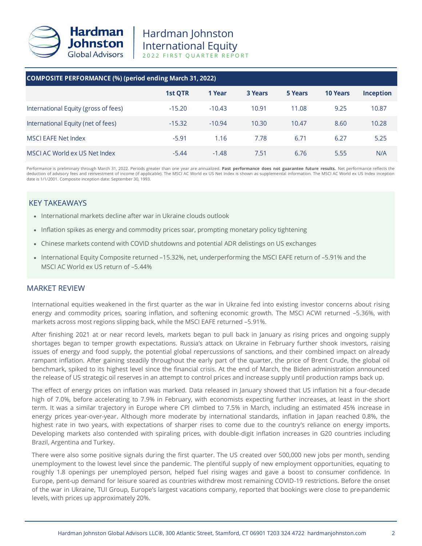

| <b>COMPOSITE PERFORMANCE (%) (period ending March 31, 2022)</b>                                                                                                                                                                                                                                                                                                                                                                                                                                                                                                                                                                                                                                                                                                                                  |          |          |                |                |                 |                  |  |
|--------------------------------------------------------------------------------------------------------------------------------------------------------------------------------------------------------------------------------------------------------------------------------------------------------------------------------------------------------------------------------------------------------------------------------------------------------------------------------------------------------------------------------------------------------------------------------------------------------------------------------------------------------------------------------------------------------------------------------------------------------------------------------------------------|----------|----------|----------------|----------------|-----------------|------------------|--|
|                                                                                                                                                                                                                                                                                                                                                                                                                                                                                                                                                                                                                                                                                                                                                                                                  | 1st QTR  | 1 Year   | <b>3 Years</b> | <b>5 Years</b> | <b>10 Years</b> | <b>Inception</b> |  |
| International Equity (gross of fees)                                                                                                                                                                                                                                                                                                                                                                                                                                                                                                                                                                                                                                                                                                                                                             | $-15.20$ | $-10.43$ | 10.91          | 11.08          | 9.25            | 10.87            |  |
| International Equity (net of fees)                                                                                                                                                                                                                                                                                                                                                                                                                                                                                                                                                                                                                                                                                                                                                               | $-15.32$ | $-10.94$ | 10.30          | 10.47          | 8.60            | 10.28            |  |
| <b>MSCI EAFE Net Index</b>                                                                                                                                                                                                                                                                                                                                                                                                                                                                                                                                                                                                                                                                                                                                                                       | $-5.91$  | 1.16     | 7.78           | 6.71           | 6.27            | 5.25             |  |
| MSCI AC World ex US Net Index                                                                                                                                                                                                                                                                                                                                                                                                                                                                                                                                                                                                                                                                                                                                                                    | $-5.44$  | $-1.48$  | 7.51           | 6.76           | 5.55            | N/A              |  |
| Performance is preliminary through March 31, 2022. Periods greater than one year are annualized. Past performance does not guarantee future results. Net performance reflects the<br>deduction of advisory fees and reinvestment of income (if applicable). The MSCI AC World ex US Net Index is shown as supplemental information. The MSCI AC World ex US Index inception<br>date is 1/1/2001. Composite inception date: September 30, 1993.                                                                                                                                                                                                                                                                                                                                                   |          |          |                |                |                 |                  |  |
| <b>KEY TAKEAWAYS</b><br>• International markets decline after war in Ukraine clouds outlook                                                                                                                                                                                                                                                                                                                                                                                                                                                                                                                                                                                                                                                                                                      |          |          |                |                |                 |                  |  |
| • Inflation spikes as energy and commodity prices soar, prompting monetary policy tightening                                                                                                                                                                                                                                                                                                                                                                                                                                                                                                                                                                                                                                                                                                     |          |          |                |                |                 |                  |  |
| Chinese markets contend with COVID shutdowns and potential ADR delistings on US exchanges                                                                                                                                                                                                                                                                                                                                                                                                                                                                                                                                                                                                                                                                                                        |          |          |                |                |                 |                  |  |
| • International Equity Composite returned -15.32%, net, underperforming the MSCI EAFE return of -5.91% and the<br>MSCI AC World ex US return of -5.44%                                                                                                                                                                                                                                                                                                                                                                                                                                                                                                                                                                                                                                           |          |          |                |                |                 |                  |  |
| <b>MARKET REVIEW</b>                                                                                                                                                                                                                                                                                                                                                                                                                                                                                                                                                                                                                                                                                                                                                                             |          |          |                |                |                 |                  |  |
| International equities weakened in the first quarter as the war in Ukraine fed into existing investor concerns about rising<br>energy and commodity prices, soaring inflation, and softening economic growth. The MSCI ACWI returned -5.36%, with<br>markets across most regions slipping back, while the MSCI EAFE returned -5.91%.                                                                                                                                                                                                                                                                                                                                                                                                                                                             |          |          |                |                |                 |                  |  |
| After finishing 2021 at or near record levels, markets began to pull back in January as rising prices and ongoing supply<br>shortages began to temper growth expectations. Russia's attack on Ukraine in February further shook investors, raising<br>issues of energy and food supply, the potential global repercussions of sanctions, and their combined impact on already<br>rampant inflation. After gaining steadily throughout the early part of the quarter, the price of Brent Crude, the global oil<br>benchmark, spiked to its highest level since the financial crisis. At the end of March, the Biden administration announced<br>the release of US strategic oil reserves in an attempt to control prices and increase supply until production ramps back up.                      |          |          |                |                |                 |                  |  |
| The effect of energy prices on inflation was marked. Data released in January showed that US inflation hit a four-decade<br>high of 7.0%, before accelerating to 7.9% in February, with economists expecting further increases, at least in the short<br>term. It was a similar trajectory in Europe where CPI climbed to 7.5% in March, including an estimated 45% increase in<br>energy prices year-over-year. Although more moderate by international standards, inflation in Japan reached 0.8%, the<br>highest rate in two years, with expectations of sharper rises to come due to the country's reliance on energy imports.<br>Developing markets also contended with spiraling prices, with double-digit inflation increases in G20 countries including<br>Brazil, Argentina and Turkey. |          |          |                |                |                 |                  |  |
| There were also some positive signals during the first quarter. The US created over 500,000 new jobs per month, sending<br>unemployment to the lowest level since the pandemic. The plentiful supply of new employment opportunities, equating to<br>roughly 1.8 openings per unemployed person, helped fuel rising wages and gave a boost to consumer confidence. In<br>Europe, pent-up demand for leisure soared as countries withdrew most remaining COVID-19 restrictions. Before the onset<br>of the war in Ukraine, TUI Group, Europe's largest vacations company, reported that bookings were close to pre-pandemic<br>levels, with prices up approximately 20%.                                                                                                                          |          |          |                |                |                 |                  |  |

## KEY TAKEAWAYS

- International markets decline after war in Ukraine clouds outlook
- Inflation spikes as energy and commodity prices soar, prompting monetary policy tightening
- Chinese markets contend with COVID shutdowns and potential ADR delistings on US exchanges
- International Equity Composite returned –15.32%, net, underperforming the MSCI EAFE return of –5.91% and the MSCI AC World ex US return of –5.44%

## MARKET REVIEW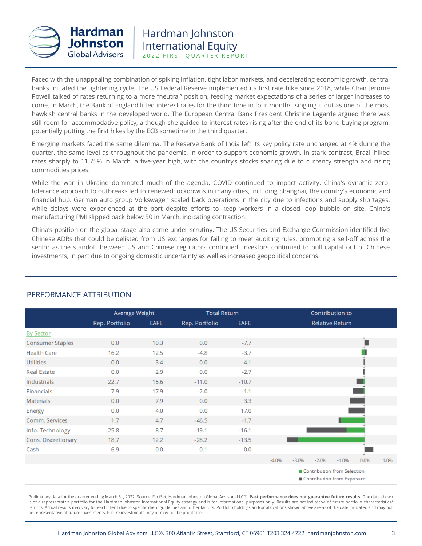

Faced with the unappealing combination of spiking inflation, tight labor markets, and decelerating economic growth, central banks initiated the tightening cycle. The US Federal Reserve implemented its first rate hike since 2018, while Chair Jerome Powell talked of rates returning to a more "neutral" position, feeding market expectations of a series of larger increases to come. In March, the Bank of England lifted interest rates for the third time in four months, singling it out as one of the most hawkish central banks in the developed world. The European Central Bank President Christine Lagarde argued there was still room for accommodative policy, although she guided to interest rates rising after the end of its bond buying program, potentially putting the first hikes by the ECB sometime in the third quarter.

Emerging markets faced the same dilemma. The Reserve Bank of India left its key policy rate unchanged at 4% during the quarter, the same level as throughout the pandemic, in order to support economic growth. In stark contrast, Brazil hiked rates sharply to 11.75% in March, a five-year high, with the country's stocks soaring due to currency strength and rising commodities prices.

While the war in Ukraine dominated much of the agenda, COVID continued to impact activity. China's dynamic zerotolerance approach to outbreaks led to renewed lockdowns in many cities, including Shanghai, the country's economic and financial hub. German auto group Volkswagen scaled back operations in the city due to infections and supply shortages, while delays were experienced at the port despite efforts to keep workers in a closed loop bubble on site. China's manufacturing PMI slipped back below 50 in March, indicating contraction.

China's position on the global stage also came under scrutiny. The US Securities and Exchange Commission identified five Chinese ADRs that could be delisted from US exchanges for failing to meet auditing rules, prompting a sell-off across the sector as the standoff between US and Chinese regulators continued. Investors continued to pull capital out of Chinese investments, in part due to ongoing domestic uncertainty as well as increased geopolitical concerns.

|                         |                | Average Weight<br><b>Total Return</b> |                |             |         |         |                             | Contribution to        |      |      |
|-------------------------|----------------|---------------------------------------|----------------|-------------|---------|---------|-----------------------------|------------------------|------|------|
|                         | Rep. Portfolio | <b>EAFE</b>                           | Rep. Portfolio | <b>EAFE</b> |         |         |                             | <b>Relative Return</b> |      |      |
| <b>By Sector</b>        |                |                                       |                |             |         |         |                             |                        |      |      |
| <b>Consumer Staples</b> | 0.0            | 10.3                                  | 0.0            | $-7.7$      |         |         |                             |                        |      |      |
| <b>Health Care</b>      | 16.2           | 12.5                                  | $-4.8$         | $-3.7$      |         |         |                             |                        |      |      |
| <b>Utilities</b>        | 0.0            | 3.4                                   | 0.0            | $-4.1$      |         |         |                             |                        |      |      |
| <b>Real Estate</b>      | 0.0            | 2.9                                   | 0.0            | $-2.7$      |         |         |                             |                        |      |      |
| Industrials             | 22.7           | 15.6                                  | $-11.0$        | $-10.7$     |         |         |                             |                        |      |      |
| Financials              | 7.9            | 17.9                                  | $-2.0$         | $-1.1$      |         |         |                             |                        |      |      |
| Materials               | 0.0            | 7.9                                   | 0.0            | 3.3         |         |         |                             |                        |      |      |
| Energy                  | 0.0            | 4.0                                   | 0.0            | 17.0        |         |         |                             |                        |      |      |
| Comm. Services          | 1.7            | 4.7                                   | $-46.5$        | $-1.7$      |         |         |                             |                        |      |      |
| Info. Technology        | 25.8           | 8.7                                   | $-19.1$        | $-16.1$     |         |         |                             |                        |      |      |
| Cons. Discretionary     | 18.7           | 12.2                                  | $-28.2$        | $-13.5$     |         |         |                             |                        |      |      |
| Cash                    | 6.9            | 0.0                                   | 0.1            | 0.0         |         |         |                             |                        |      |      |
|                         |                |                                       |                |             | $-4.0%$ | $-3.0%$ | $-2.0%$                     | $-1.0%$                | 0.0% | 1.0% |
|                         |                |                                       |                |             |         |         | Contribution from Selection |                        |      |      |

# PERFORMANCE ATTRIBUTION

Contribution from Exposure

Preliminary data for the quarter ending March 31, 2022. Source: FactSet, Hardman Johnston Global Advisors LLC®. **Past performance does not guarantee future results.** The data shown is of a representative portfolio for the Hardman Johnston International Equity strategy and is for informational purposes only. Results are not indicative of future portfolio characteristics/ returns. Actual results may vary for each client due to specific client guidelines and other factors. Portfolio holdings and/or allocations shown above are as of the date indicated and may not be representative of future investments. Future investments may or may not be profitable.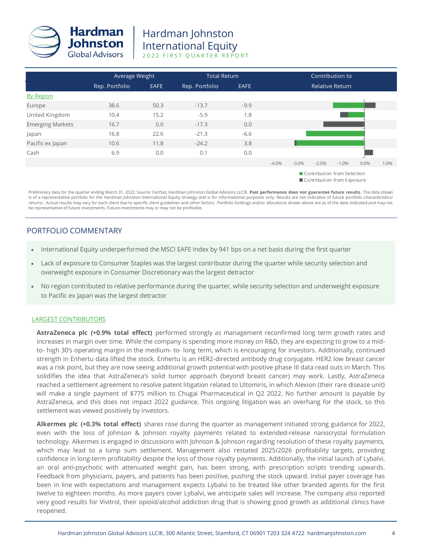

|                         |                | Average Weight |                | <b>Total Return</b> |                        | Contribution to |         |                                                           |      |      |
|-------------------------|----------------|----------------|----------------|---------------------|------------------------|-----------------|---------|-----------------------------------------------------------|------|------|
|                         | Rep. Portfolio | <b>EAFE</b>    | Rep. Portfolio | <b>EAFE</b>         | <b>Relative Return</b> |                 |         |                                                           |      |      |
| <b>By Region</b>        |                |                |                |                     |                        |                 |         |                                                           |      |      |
| Europe                  | 38.6           | 50.3           | $-13.7$        | $-9.9$              |                        |                 |         |                                                           |      |      |
| United Kingdom          | 10.4           | 15.2           | $-5.9$         | 1.8                 |                        |                 |         |                                                           |      |      |
| <b>Emerging Markets</b> | 16.7           | 0.0            | $-17.3$        | 0.0                 |                        |                 |         |                                                           |      |      |
| Japan                   | 16.8           | 22.6           | $-21.3$        | $-6.6$              |                        |                 |         |                                                           |      |      |
| Pacific ex Japan        | 10.6           | 11.8           | $-24.2$        | 3.8                 |                        |                 |         |                                                           |      |      |
| Cash                    | 6.9            | 0.0            | 0.1            | 0.0                 |                        |                 |         |                                                           |      |      |
|                         |                |                |                |                     | $-4.0%$                | $-3.0\%$        | $-2.0%$ | $-1.0%$                                                   | 0.0% | 1.0% |
|                         |                |                |                |                     |                        |                 |         | Contribution from Selection<br>Contribution from Exposure |      |      |

Preliminary data for the quarter ending March 31, 2022. Source: FactSet, Hardman Johnston Global Advisors LLC®. **Past performance does not guarantee future results.** The data shown is of a representative portfolio for the Hardman Johnston International Equity strategy and is for informational purposes only. Results are not indicative of future portfolio characteristics/<br>returns. Actual results may va be representative of future investments. Future investments may or may not be profitable.

## PORTFOLIO COMMENTARY

- International Equity underperformed the MSCI EAFE Index by 941 bps on a net basis during the first quarter
- Lack of exposure to Consumer Staples was the largest contributor during the quarter while security selection and overweight exposure in Consumer Discretionary was the largest detractor
- No region contributed to relative performance during the quarter, while security selection and underweight exposure to Pacific ex Japan was the largest detractor

#### LARGEST CONTRIBUTORS

**AstraZeneca plc (+0.9% total effect)** performed strongly as management reconfirmed long term growth rates and increases in margin over time. While the company is spending more money on R&D, they are expecting to grow to a midto- high 30's operating margin in the medium- to- long term, which is encouraging for investors. Additionally, continued strength in Enhertu data lifted the stock. Enhertu is an HER2-directed antibody drug conjugate. HER2 low breast cancer was a risk point, but they are now seeing additional growth potential with positive phase III data read outs in March. This solidifies the idea that AstraZeneca's solid tumor approach (beyond breast cancer) may work. Lastly, AstraZeneca reached a settlement agreement to resolve patent litigation related to Ultomiris, in which Alexion (their rare disease unit) will make a single payment of \$775 million to Chugai Pharmaceutical in Q2 2022. No further amount is payable by AstraZeneca, and this does not impact 2022 guidance. This ongoing litigation was an overhang for the stock, so this settlement was viewed positively by investors.

**Alkermes plc (+0.3% total effect)** shares rose during the quarter as management initiated strong guidance for 2022, even with the loss of Johnson & Johnson royalty payments related to extended-release nanocrystal formulation technology. Alkermes is engaged in discussions with Johnson & Johnson regarding resolution of these royalty payments, which may lead to a lump sum settlement. Management also restated 2025/2026 profitability targets, providing confidence in long-term profitability despite the loss of those royalty payments. Additionally, the initial launch of Lybalvi, an oral anti-psychotic with attenuated weight gain, has been strong, with prescription scripts trending upwards. Feedback from physicians, payers, and patients has been positive, pushing the stock upward. Initial payer coverage has been in line with expectations and management expects Lybalvi to be treated like other branded agents for the first twelve to eighteen months. As more payers cover Lybalvi, we anticipate sales will increase. The company also reported very good results for Vivitrol, their opioid/alcohol addiction drug that is showing good growth as additional clinics have reopened.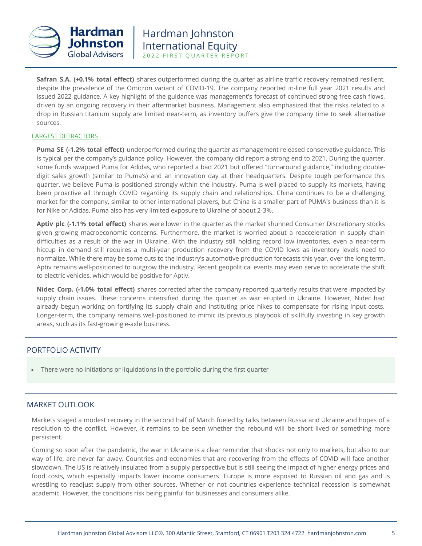

**Safran S.A. (+0.1% total effect)** shares outperformed during the quarter as airline traffic recovery remained resilient, despite the prevalence of the Omicron variant of COVID-19. The company reported in-line full year 2021 results and issued 2022 guidance. A key highlight of the guidance was management's forecast of continued strong free cash flows, driven by an ongoing recovery in their aftermarket business. Management also emphasized that the risks related to a drop in Russian titanium supply are limited near-term, as inventory buffers give the company time to seek alternative sources.

#### LARGEST DETRACTORS

**Puma SE (-1.2% total effect)** underperformed during the quarter as management released conservative guidance. This is typical per the company's guidance policy. However, the company did report a strong end to 2021. During the quarter, some funds swapped Puma for Adidas, who reported a bad 2021 but offered "turnaround guidance," including doubledigit sales growth (similar to Puma's) and an innovation day at their headquarters. Despite tough performance this quarter, we believe Puma is positioned strongly within the industry. Puma is well-placed to supply its markets, having been proactive all through COVID regarding its supply chain and relationships. China continues to be a challenging market for the company, similar to other international players, but China is a smaller part of PUMA's business than it is for Nike or Adidas. Puma also has very limited exposure to Ukraine of about 2-3%.

**Aptiv plc (-1.1% total effect)** shares were lower in the quarter as the market shunned Consumer Discretionary stocks given growing macroeconomic concerns. Furthermore, the market is worried about a reacceleration in supply chain difficulties as a result of the war in Ukraine. With the industry still holding record low inventories, even a near-term hiccup in demand still requires a multi-year production recovery from the COVID lows as inventory levels need to normalize. While there may be some cuts to the industry's automotive production forecasts this year, over the long term, Aptiv remains well-positioned to outgrow the industry. Recent geopolitical events may even serve to accelerate the shift to electric vehicles, which would be positive for Aptiv.

**Nidec Corp. (-1.0% total effect)** shares corrected after the company reported quarterly results that were impacted by supply chain issues. These concerns intensified during the quarter as war erupted in Ukraine. However, Nidec had already begun working on fortifying its supply chain and instituting price hikes to compensate for rising input costs. Longer-term, the company remains well-positioned to mimic its previous playbook of skillfully investing in key growth areas, such as its fast-growing e-axle business.

## PORTFOLIO ACTIVITY

• There were no initiations or liquidations in the portfolio during the first quarter

## MARKET OUTLOOK

Markets staged a modest recovery in the second half of March fueled by talks between Russia and Ukraine and hopes of a resolution to the conflict. However, it remains to be seen whether the rebound will be short lived or something more persistent.

Coming so soon after the pandemic, the war in Ukraine is a clear reminder that shocks not only to markets, but also to our way of life, are never far away. Countries and economies that are recovering from the effects of COVID will face another slowdown. The US is relatively insulated from a supply perspective but is still seeing the impact of higher energy prices and food costs, which especially impacts lower income consumers. Europe is more exposed to Russian oil and gas and is wrestling to readjust supply from other sources. Whether or not countries experience technical recession is somewhat academic. However, the conditions risk being painful for businesses and consumers alike.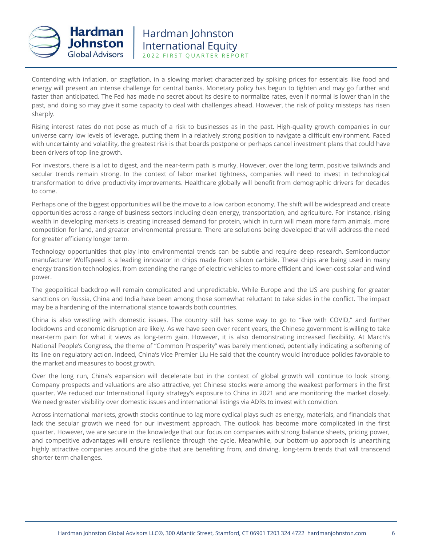

Contending with inflation, or stagflation, in a slowing market characterized by spiking prices for essentials like food and energy will present an intense challenge for central banks. Monetary policy has begun to tighten and may go further and faster than anticipated. The Fed has made no secret about its desire to normalize rates, even if normal is lower than in the past, and doing so may give it some capacity to deal with challenges ahead. However, the risk of policy missteps has risen sharply.

Rising interest rates do not pose as much of a risk to businesses as in the past. High-quality growth companies in our universe carry low levels of leverage, putting them in a relatively strong position to navigate a difficult environment. Faced with uncertainty and volatility, the greatest risk is that boards postpone or perhaps cancel investment plans that could have been drivers of top line growth.

For investors, there is a lot to digest, and the near-term path is murky. However, over the long term, positive tailwinds and secular trends remain strong. In the context of labor market tightness, companies will need to invest in technological transformation to drive productivity improvements. Healthcare globally will benefit from demographic drivers for decades to come.

Perhaps one of the biggest opportunities will be the move to a low carbon economy. The shift will be widespread and create opportunities across a range of business sectors including clean energy, transportation, and agriculture. For instance, rising wealth in developing markets is creating increased demand for protein, which in turn will mean more farm animals, more competition for land, and greater environmental pressure. There are solutions being developed that will address the need for greater efficiency longer term.

Technology opportunities that play into environmental trends can be subtle and require deep research. Semiconductor manufacturer Wolfspeed is a leading innovator in chips made from silicon carbide. These chips are being used in many energy transition technologies, from extending the range of electric vehicles to more efficient and lower-cost solar and wind power.

The geopolitical backdrop will remain complicated and unpredictable. While Europe and the US are pushing for greater sanctions on Russia, China and India have been among those somewhat reluctant to take sides in the conflict. The impact may be a hardening of the international stance towards both countries.

China is also wrestling with domestic issues. The country still has some way to go to "live with COVID," and further lockdowns and economic disruption are likely. As we have seen over recent years, the Chinese government is willing to take near-term pain for what it views as long-term gain. However, it is also demonstrating increased flexibility. At March's National People's Congress, the theme of "Common Prosperity" was barely mentioned, potentially indicating a softening of its line on regulatory action. Indeed, China's Vice Premier Liu He said that the country would introduce policies favorable to the market and measures to boost growth.

Over the long run, China's expansion will decelerate but in the context of global growth will continue to look strong. Company prospects and valuations are also attractive, yet Chinese stocks were among the weakest performers in the first quarter. We reduced our International Equity strategy's exposure to China in 2021 and are monitoring the market closely. We need greater visibility over domestic issues and international listings via ADRs to invest with conviction.

Across international markets, growth stocks continue to lag more cyclical plays such as energy, materials, and financials that lack the secular growth we need for our investment approach. The outlook has become more complicated in the first quarter. However, we are secure in the knowledge that our focus on companies with strong balance sheets, pricing power, and competitive advantages will ensure resilience through the cycle. Meanwhile, our bottom-up approach is unearthing highly attractive companies around the globe that are benefiting from, and driving, long-term trends that will transcend shorter term challenges.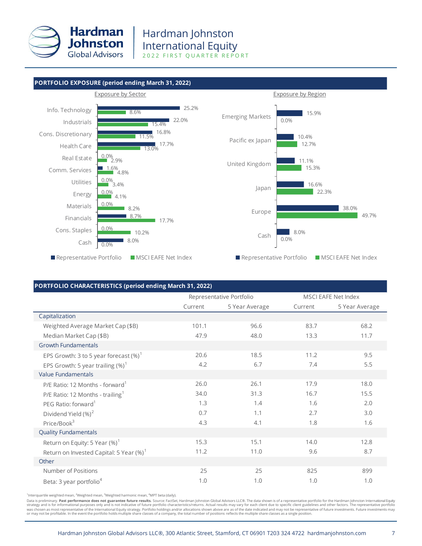

#### **PORTFOLIO EXPOSURE (period ending March 31, 2022)**



#### **PORTFOLIO CHARACTERISTICS (period ending March 31, 2022)**

|                                                     |         | Representative Portfolio |         | <b>MSCI EAFE Net Index</b> |
|-----------------------------------------------------|---------|--------------------------|---------|----------------------------|
|                                                     | Current | 5 Year Average           | Current | 5 Year Average             |
| Capitalization                                      |         |                          |         |                            |
| Weighted Average Market Cap (\$B)                   | 101.1   | 96.6                     | 83.7    | 68.2                       |
| Median Market Cap (\$B)                             | 47.9    | 48.0                     | 13.3    | 11.7                       |
| <b>Growth Fundamentals</b>                          |         |                          |         |                            |
| EPS Growth: 3 to 5 year forecast $(\%)^1$           | 20.6    | 18.5                     | 11.2    | 9.5                        |
| EPS Growth: 5 year trailing $(\%)^1$                | 4.2     | 6.7                      | 7.4     | 5.5                        |
| <b>Value Fundamentals</b>                           |         |                          |         |                            |
| P/E Ratio: 12 Months - forward <sup>1</sup>         | 26.0    | 26.1                     | 17.9    | 18.0                       |
| P/E Ratio: 12 Months - trailing <sup>1</sup>        | 34.0    | 31.3                     | 16.7    | 15.5                       |
| PEG Ratio: forward <sup>1</sup>                     | 1.3     | 1.4                      | 1.6     | 2.0                        |
| Dividend Yield (%) <sup>2</sup>                     | 0.7     | 1.1                      | 2.7     | 3.0                        |
| Price/Book <sup>3</sup>                             | 4.3     | 4.1                      | 1.8     | 1.6                        |
| <b>Quality Fundamentals</b>                         |         |                          |         |                            |
| Return on Equity: 5 Year $(\%)^1$                   | 15.3    | 15.1                     | 14.0    | 12.8                       |
| Return on Invested Capital: 5 Year (%) <sup>1</sup> | 11.2    | 11.0                     | 9.6     | 8.7                        |
| Other                                               |         |                          |         |                            |
| Number of Positions                                 | 25      | 25                       | 825     | 899                        |
| Beta: 3 year portfolio <sup>4</sup>                 | 1.0     | 1.0                      | 1.0     | 1.0                        |

<sup>1</sup>Interquartile weighted mean, <sup>2</sup>Weighted mean, <sup>3</sup>Weighted harmonic mean, <sup>4</sup>MPT beta (daily).

Data is preliminary. Past performance does not guarantee future results. Source: FactSet, Hardman Johnston Global Advisors LLC®. The data shown is of a representative portfolio for the Hardman Johnston International Equity strategy and is for informational purposes only and is not indicative of future portfolio characteristics/returns. Actual results may vary for each client due to specific client guidelines and other factors. The representa